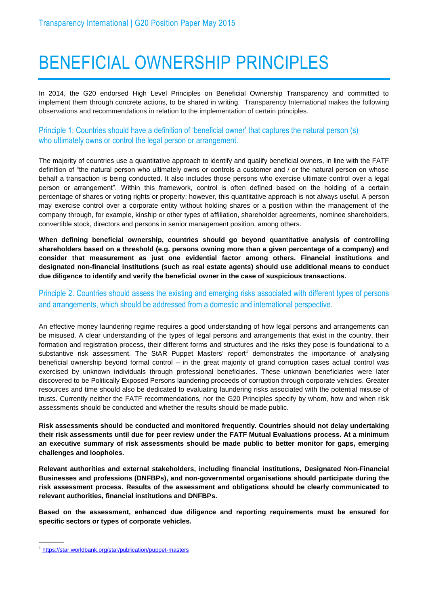## BENEFICIAL OWNERSHIP PRINCIPLES

In 2014, the G20 endorsed High Level Principles on Beneficial Ownership Transparency and committed to implement them through concrete actions, to be shared in writing. Transparency International makes the following observations and recommendations in relation to the implementation of certain principles.

Principle 1: Countries should have a definition of 'beneficial owner' that captures the natural person (s) who ultimately owns or control the legal person or arrangement.

The majority of countries use a quantitative approach to identify and qualify beneficial owners, in line with the FATF definition of "the natural person who ultimately owns or controls a customer and / or the natural person on whose behalf a transaction is being conducted. It also includes those persons who exercise ultimate control over a legal person or arrangement". Within this framework, control is often defined based on the holding of a certain percentage of shares or voting rights or property; however, this quantitative approach is not always useful. A person may exercise control over a corporate entity without holding shares or a position within the management of the company through, for example, kinship or other types of affiliation, shareholder agreements, nominee shareholders, convertible stock, directors and persons in senior management position, among others.

**When defining beneficial ownership, countries should go beyond quantitative analysis of controlling shareholders based on a threshold (e.g. persons owning more than a given percentage of a company) and consider that measurement as just one evidential factor among others. Financial institutions and designated non-financial institutions (such as real estate agents) should use additional means to conduct due diligence to identify and verify the beneficial owner in the case of suspicious transactions.**

Principle 2. Countries should assess the existing and emerging risks associated with different types of persons and arrangements, which should be addressed from a domestic and international perspective*.* 

An effective money laundering regime requires a good understanding of how legal persons and arrangements can be misused. A clear understanding of the types of legal persons and arrangements that exist in the country, their formation and registration process, their different forms and structures and the risks they pose is foundational to a substantive risk assessment. The StAR Puppet Masters' report<sup>1</sup> demonstrates the importance of analysing beneficial ownership beyond formal control – in the great majority of grand corruption cases actual control was exercised by unknown individuals through professional beneficiaries. These unknown beneficiaries were later discovered to be Politically Exposed Persons laundering proceeds of corruption through corporate vehicles. Greater resources and time should also be dedicated to evaluating laundering risks associated with the potential misuse of trusts. Currently neither the FATF recommendations, nor the G20 Principles specify by whom, how and when risk assessments should be conducted and whether the results should be made public.

**Risk assessments should be conducted and monitored frequently. Countries should not delay undertaking their risk assessments until due for peer review under the FATF Mutual Evaluations process. At a minimum an executive summary of risk assessments should be made public to better monitor for gaps, emerging challenges and loopholes.** 

**Relevant authorities and external stakeholders, including financial institutions, Designated Non-Financial Businesses and professions (DNFBPs), and non-governmental organisations should participate during the risk assessment process. Results of the assessment and obligations should be clearly communicated to relevant authorities, financial institutions and DNFBPs.**

**Based on the assessment, enhanced due diligence and reporting requirements must be ensured for specific sectors or types of corporate vehicles.**

<sup>1</sup> <https://star.worldbank.org/star/publication/puppet-masters>